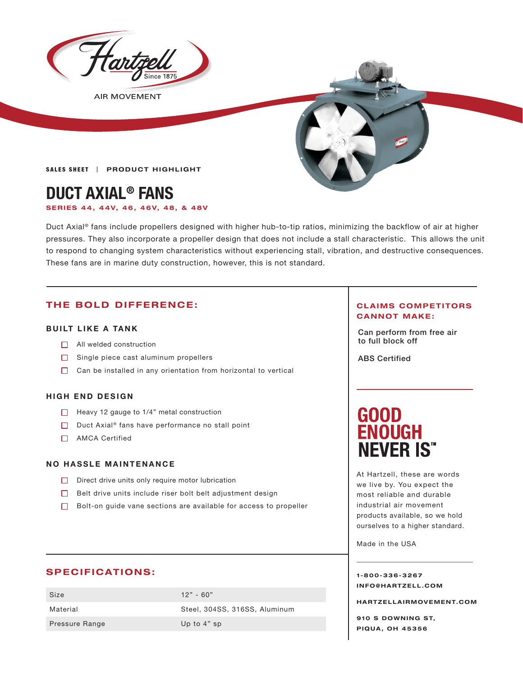

**AIR MOVEMENT** 



**SALES SHEET | PRODUCT HIGHLIGHT** 

## **DUCT AXIAL® FANS**

**SER IES 44, 44V, 46, 46V, 48, & 48V**

Duct Axial® fans include propellers designed with higher hub-to-tip ratios, minimizing the backflow of air at higher pressures. They also incorporate a propeller design that does not include a stall characteristic. This allows the unit to respond to changing system characteristics without experiencing stall, vibration, and destructive consequences. These fans are in marine duty construction, however, this is not standard.

### **THE BOLD DIFFERENCE:**

### **BUILT LIKE A TANK**

- □ All welded construction and a set of the set of the set of the set of the set of the set of the set of the set of the set of the set of the set of the set of the set of the set of the set of the set of the set of the se
- $\Box$  Single piece cast aluminum propellers
- $\Box$  Can be installed in any orientation from horizontal to vertical

### **HIGH END DESIGN**

- $\Box$  Heavy 12 gauge to 1/4" metal construction
- $\Box$  Duct Axial® fans have performance no stall point
- □ AMCA Certified

### **NO HASSLE MAINTENANCE**

- $\Box$  Direct drive units only require motor lubrication
- Belt drive units include riser bolt belt adjustment design
- $\Box$  Bolt-on quide vane sections are available for access to propeller

### **SPECIFICATIONS:**

Size 12" - 60" Pressure Range Up to 4" sp

Material Steel, 304SS, 316SS, Aluminum

### **CLAIMS COMPETITORS CANNOT MAKE:**

Can perform from free air

ABS Certified

# **GOOD<br>ENOUGH NEVER IS"**

At Hartzell, these are words we live by. You expect the most reliable and durable industrial air movement products available, so we hold ourselves to a higher standard.

Made in the USA

**1-800-336-3267 I N F O @ H A R T Z E L L . C OM** 

**HARTZELLA IRMOVEMENT.COM**

**910 S DOWNING ST, PIQUA, OH 45356**